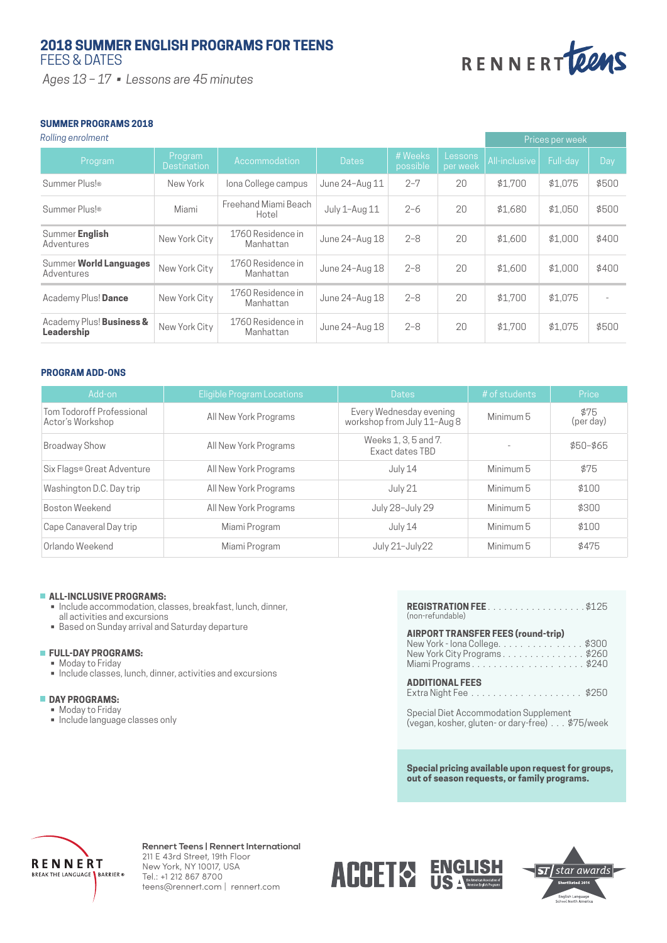# **2018 SUMMER ENGLISH PROGRAMS FOR TEENS** FEES & DATES

 *Ages 13 – 17 • Lessons are 45 minutes*



# **SUMMER PROGRAMS 2018**

*Rolling enrolment*

| Rolling enrolment                      |                               |                                |                |                     |                     | Prices per week |          |       |
|----------------------------------------|-------------------------------|--------------------------------|----------------|---------------------|---------------------|-----------------|----------|-------|
| Program                                | Program<br><b>Destination</b> | Accommodation                  | <b>Dates</b>   | # Weeks<br>possible | Lessons<br>per week | All-inclusive   | Full-day | Day   |
| Summer Plus!®                          | New York                      | lona College campus            | June 24-Aug 11 | $2 - 7$             | 20                  | \$1.700         | \$1.075  | \$500 |
| Summer Plus!®                          | Miami                         | Freehand Miami Beach<br>Hotel  | July 1-Aug 11  | $2 - 6$             | 20                  | \$1.680         | \$1.050  | \$500 |
| Summer English<br>Adventures           | New York City                 | 1760 Residence in<br>Manhattan | June 24-Aug 18 | $2 - 8$             | 20                  | \$1,600         | \$1.000  | \$400 |
| Summer World Languages<br>Adventures   | New York City                 | 1760 Residence in<br>Manhattan | June 24-Aug 18 | $2 - 8$             | 20                  | \$1,600         | \$1,000  | \$400 |
| Academy Plus! Dance                    | New York City                 | 1760 Residence in<br>Manhattan | June 24-Aug 18 | $2 - 8$             | 20                  | \$1.700         | \$1.075  |       |
| Academy Plus! Business &<br>Leadership | New York City                 | 1760 Residence in<br>Manhattan | June 24-Aug 18 | $2 - 8$             | 20                  | \$1.700         | \$1.075  | \$500 |

# **PROGRAM ADD-ONS**

| Add-on                                        | Eligible Program Locations | <b>Dates</b>                                           | # of students | Price             |
|-----------------------------------------------|----------------------------|--------------------------------------------------------|---------------|-------------------|
| Tom Todoroff Professional<br>Actor's Workshop | All New York Programs      | Every Wednesday evening<br>workshop from July 11-Aug 8 | Minimum 5     | \$75<br>(per day) |
| <b>Broadway Show</b>                          | All New York Programs      | Weeks 1, 3, 5 and 7.<br>Exact dates TBD                |               | $$50 - $65$       |
| Six Flags® Great Adventure                    | All New York Programs      | July 14                                                | Minimum 5     | \$75              |
| Washington D.C. Day trip                      | All New York Programs      | July 21                                                | Minimum 5     | \$100             |
| Boston Weekend                                | All New York Programs      | July 28-July 29                                        | Minimum 5     | \$300             |
| Cape Canaveral Day trip                       | Miami Program              | July 14                                                | Minimum 5     | \$100             |
| Orlando Weekend                               | Miami Program              | July 21-July 22                                        | Minimum 5     | \$475             |

## **ALL-INCLUSIVE PROGRAMS:**

- Include accommodation, classes, breakfast, lunch, dinner, all activities and excursions
- Based on Sunday arrival and Saturday departure

## **FULL-DAY PROGRAMS:**

- Moday to Friday
- Include classes, lunch, dinner, activities and excursions

# **DAY PROGRAMS:**

- Moday to Friday
- Include language classes only

| (non-refundable)                                                                                                                  |
|-----------------------------------------------------------------------------------------------------------------------------------|
| <b>AIRPORT TRANSFER FEES (round-trip)</b><br>New York - Iona College. \$300<br>New York City Programs\$260<br>Miami Programs\$240 |
| <b>ADDITIONAL FEES</b>                                                                                                            |

Special Diet Accommodation Supplement (vegan, kosher, gluten- or dary-free) . . . \$75/week

**Special pricing available upon request for groups, out of season requests, or family programs.**



**Rennert Teens | Rennert International** 211 E 43rd Street, 19th Floor New York, NY 10017, USA Tel.: +1 212 867 8700 teens@rennert.com | rennert.com